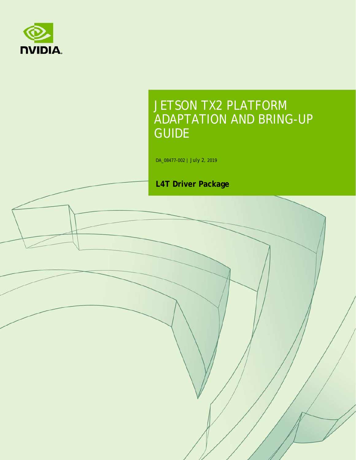

# JETSON TX2 PLATFORM ADAPTATION AND BRING-UP GUIDE

DA\_08477-002 | July 2, 2019

### **L4T Driver Package**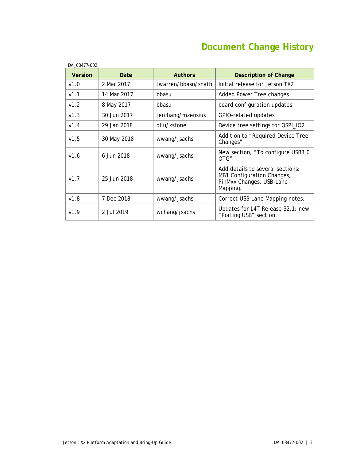# **Document Change History**

| <b>Version</b> | Date        | <b>Authors</b>      | <b>Description of Change</b>                                                                           |  |
|----------------|-------------|---------------------|--------------------------------------------------------------------------------------------------------|--|
| v1.0           | 2 Mar 2017  | twarren/bbasu/snath | Initial release for Jetson TX2                                                                         |  |
| V1.1           | 14 Mar 2017 | bbasu               | Added Power Tree changes                                                                               |  |
| v1.2           | 8 May 2017  | bbasu               | board configuration updates                                                                            |  |
| V1.3           | 30 Jun 2017 | jerchang/mzensius   | GPIO-related updates                                                                                   |  |
| v1.4           | 29 Jan 2018 | dliu/kstone         | Device tree settings for QSPI_IO2                                                                      |  |
| v1.5           | 30 May 2018 | wwang/jsachs        | Addition to "Required Device Tree<br>Changes"                                                          |  |
| V1.6           | 6 Jun 2018  | wwang/jsachs        | New section, "To configure USB3.0<br>OTG"                                                              |  |
| V1.7           | 25 Jun 2018 | wwang/jsachs        | Add details to several sections:<br>MB1 Configuration Changes,<br>PinMxx Changes, USB-Lane<br>Mapping. |  |
| v1.8           | 7 Dec 2018  | wwang/jsachs        | Correct USB Lane Mapping notes.                                                                        |  |
| V1.9           | 2 Jul 2019  | wchang/jsachs       | Updates for L4T Release 32.1; new<br>"Porting USB" section.                                            |  |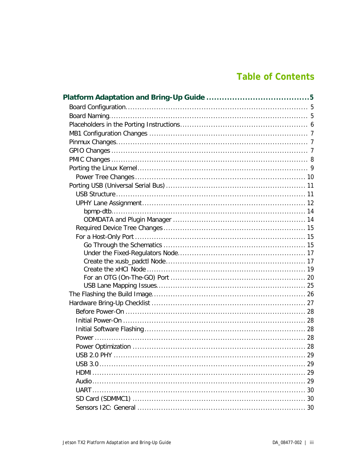### **Table of Contents**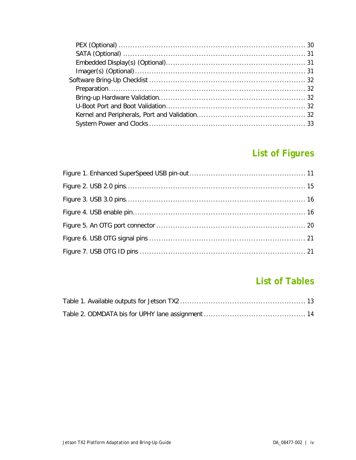## **List of Figures**

### **List of Tables**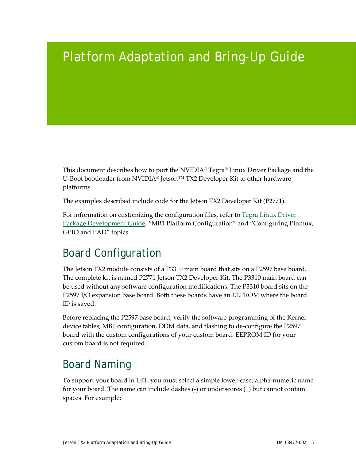# <span id="page-4-0"></span>Platform Adaptation and Bring-Up Guide

This document describes how to port the NVIDIA® Tegra® Linux Driver Package and the U-Boot bootloader from NVIDIA® Jetson™ TX2 Developer Kit to other hardware platforms.

The examples described include code for the Jetson TX2 Developer Kit (P2771).

For information on customizing the configuration files, refer to [Tegra Linux Driver](https://docs.nvidia.com/jetson/archives/l4t-archived/l4t-321/index.html)  [Package Development Guide,](https://docs.nvidia.com/jetson/archives/l4t-archived/l4t-321/index.html) "MB1 Platform Configuration" and "Configuring Pinmux, GPIO and PAD" topics.

## <span id="page-4-1"></span>Board Configuration

The Jetson TX2 module consists of a P3310 main board that sits on a P2597 base board. The complete kit is named P2771 Jetson TX2 Developer Kit. The P3310 main board can be used without any software configuration modifications. The P3310 board sits on the P2597 I/O expansion base board. Both these boards have an EEPROM where the board ID is saved.

Before replacing the P2597 base board, verify the software programming of the Kernel device tables, MB1 configuration, ODM data, and flashing to de-configure the P2597 board with the custom configurations of your custom board. EEPROM ID for your custom board is not required.

## <span id="page-4-2"></span>Board Naming

To support your board in L4T, you must select a simple lower-case, alpha-numeric name for your board. The name can include dashes (-) or underscores (\_) but cannot contain spaces. For example: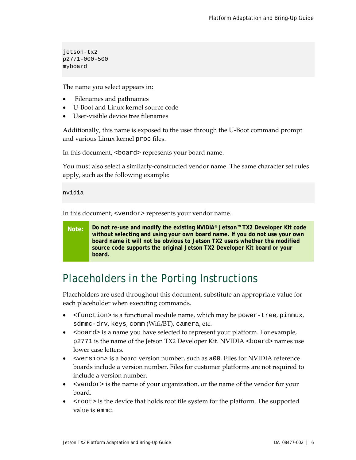jetson-tx2 p2771-000-500 myboard

The name you select appears in:

- Filenames and pathnames
- U-Boot and Linux kernel source code
- User-visible device tree filenames

Additionally, this name is exposed to the user through the U-Boot command prompt and various Linux kernel proc files.

In this document, <board> represents your board name.

You must also select a similarly-constructed vendor name. The same character set rules apply, such as the following example:

```
nvidia
```
In this document, <vendor> represents your vendor name.

**Note: Do not re-use and modify the existing NVIDIA® Jetson™ TX2 Developer Kit code without selecting and using your own board name. If you do not use your own board name it will not be obvious to Jetson TX2 users whether the modified source code supports the original Jetson TX2 Developer Kit board or your board.**

## <span id="page-5-0"></span>Placeholders in the Porting Instructions

Placeholders are used throughout this document, substitute an appropriate value for each placeholder when executing commands.

- <function> is a functional module name, which may be power-tree, pinmux, sdmmc-drv, keys, comm (Wifi/BT), camera, etc.
- <br >board> is a name you have selected to represent your platform. For example, p2771 is the name of the Jetson TX2 Developer Kit. NVIDIA <board> names use lower case letters.
- <version> is a board version number, such as a00. Files for NVIDIA reference boards include a version number. Files for customer platforms are not required to include a version number.
- <vendor> is the name of your organization, or the name of the vendor for your board.
- <root> is the device that holds root file system for the platform. The supported value is emmc.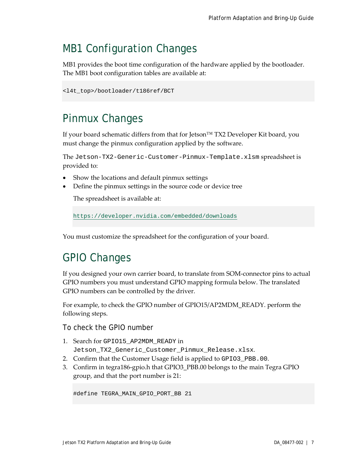## <span id="page-6-0"></span>MB1 Configuration Changes

MB1 provides the boot time configuration of the hardware applied by the bootloader. The MB1 boot configuration tables are available at:

```
<l4t_top>/bootloader/t186ref/BCT
```
## <span id="page-6-1"></span>Pinmux Changes

If your board schematic differs from that for Jetson™ TX2 Developer Kit board, you must change the pinmux configuration applied by the software.

The Jetson-TX2-Generic-Customer-Pinmux-Template.xlsm spreadsheet is provided to:

- Show the locations and default pinmux settings
- Define the pinmux settings in the source code or device tree

The spreadsheet is available at:

<https://developer.nvidia.com/embedded/downloads>

You must customize the spreadsheet for the configuration of your board.

## <span id="page-6-2"></span>GPIO Changes

If you designed your own carrier board, to translate from SOM-connector pins to actual GPIO numbers you must understand GPIO mapping formula below. The translated GPIO numbers can be controlled by the driver.

For example, to check the GPIO number of GPIO15/AP2MDM\_READY. perform the following steps.

To check the GPIO number

- 1. Search for GPIO15\_AP2MDM\_READY in Jetson\_TX2\_Generic\_Customer\_Pinmux\_Release.xlsx.
- 2. Confirm that the Customer Usage field is applied to GPIO3\_PBB.00.
- 3. Confirm in tegra186-gpio.h that GPIO3\_PBB.00 belongs to the main Tegra GPIO group, and that the port number is 21:

```
#define TEGRA_MAIN_GPIO_PORT_BB 21
```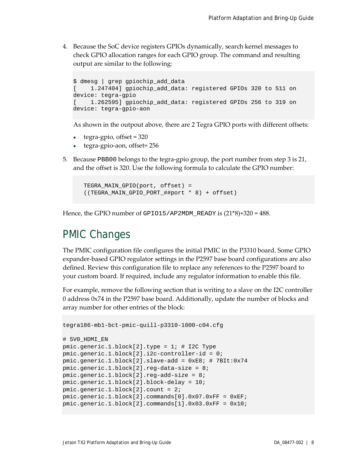4. Because the SoC device registers GPIOs dynamically, search kernel messages to check GPIO allocation ranges for each GPIO group. The command and resulting output are similar to the following:

```
$ dmesg | grep gpiochip_add_data
[ 1.247404] gpiochip_add_data: registered GPIOs 320 to 511 on 
device: tegra-gpio
[ 1.262595] gpiochip_add_data: registered GPIOs 256 to 319 on 
device: tegra-gpio-aon
```
As shown in the outpout above, there are 2 Tegra GPIO ports with different offsets:

- $\cdot$  tegra-gpio, offset = 320
- tegra-gpio-aon, offset= 256
- 5. Because PBB00 belongs to the tegra-gpio group, the port number from step 3 is 21, and the offset is 320. Use the following formula to calculate the GPIO number:

```
TEGRA_MAIN_GPIO(port, offset) = 
((TEGRA_MAIN_GPIO_PORT_##port * 8) + offset)
```
Hence, the GPIO number of GPIO15/AP2MDM\_READY is (21\*8)+320 = 488.

### <span id="page-7-0"></span>PMIC Changes

The PMIC configuration file configures the initial PMIC in the P3310 board. Some GPIO expander-based GPIO regulator settings in the P2597 base board configurations are also defined. Review this configuration file to replace any references to the P2597 board to your custom board. If required, include any regulator information to enable this file.

For example, remove the following section that is writing to a slave on the I2C controller 0 address 0x74 in the P2597 base board. Additionally, update the number of blocks and array number for other entries of the block:

```
tegra186-mb1-bct-pmic-quill-p3310-1000-c04.cfg
# 5V0_HDMI_EN
pmic.qeneric.1.block[2].type = 1; # I2C Typepmic.generic.1.block[2].i2c-controller-id = 0;
pmic.generic.1.block[2].slave-add = 0xE8; # 7BIt:0x74
pmic.generic.1.block[2].reg-data-size = 8;
pmic.generic.1.block[2].reg-add-size = 8;
pmic.generic.1.block[2].block-delay = 10;
pmic.generic.1.block[2].count = 2;
pmic.generic.1.block[2].commands[0].0x07.0xFF = 0xEF;
pmic.generic.1.block[2].commands[1].0x03.0xFF = 0x10;
```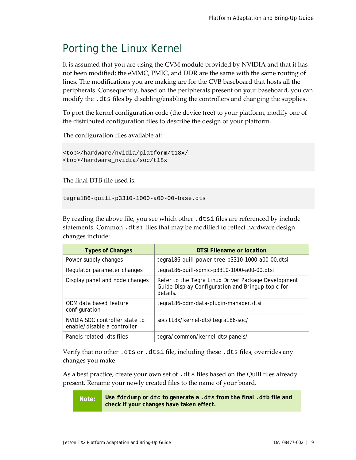## <span id="page-8-0"></span>Porting the Linux Kernel

It is assumed that you are using the CVM module provided by NVIDIA and that it has not been modified; the eMMC, PMIC, and DDR are the same with the same routing of lines. The modifications you are making are for the CVB baseboard that hosts all the peripherals. Consequently, based on the peripherals present on your baseboard, you can modify the .dts files by disabling/enabling the controllers and changing the supplies.

To port the kernel configuration code (the device tree) to your platform, modify one of the distributed configuration files to describe the design of your platform.

The configuration files available at:

```
<top>/hardware/nvidia/platform/t18x/
<top>/hardware_nvidia/soc/t18x
```
The final DTB file used is:

tegra186-quill-p3310-1000-a00-00-base.dts

By reading the above file, you see which other .dtsi files are referenced by include statements. Common .dtsi files that may be modified to reflect hardware design changes include:

| <b>Types of Changes</b>                                       | <b>DTSI Filename or location</b>                                                                                     |
|---------------------------------------------------------------|----------------------------------------------------------------------------------------------------------------------|
| Power supply changes                                          | tegra186-quill-power-tree-p3310-1000-a00-00.dtsi                                                                     |
| Regulator parameter changes                                   | tegra186-quill-spmic-p3310-1000-a00-00.dtsi                                                                          |
| Display panel and node changes                                | Refer to the Tegra Linux Driver Package Development<br>Guide Display Configuration and Bringup topic for<br>details. |
| ODM data based feature<br>configuration                       | tegra186-odm-data-plugin-manager.dtsi                                                                                |
| NVIDIA SOC controller state to<br>enable/disable a controller | soc/t18x/kernel-dts/tegra186-soc/                                                                                    |
| Panels related .dts files                                     | tegra/common/kernel-dts/panels/                                                                                      |

Verify that no other .dts or .dtsi file, including these .dts files, overrides any changes you make.

As a best practice, create your own set of .dts files based on the Quill files already present. Rename your newly created files to the name of your board.

**Note: Use fdtdump or dtc to generate a .dts from the final .dtb file and check if your changes have taken effect.**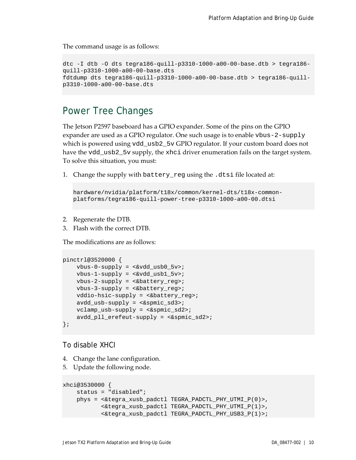The command usage is as follows:

```
dtc -I dtb -O dts tegra186-quill-p3310-1000-a00-00-base.dtb > tegra186-
quill-p3310-1000-a00-00-base.dts
fdtdump dts tegra186-quill-p3310-1000-a00-00-base.dtb > tegra186-quill-
p3310-1000-a00-00-base.dts
```
### <span id="page-9-0"></span>Power Tree Changes

The Jetson P2597 baseboard has a GPIO expander. Some of the pins on the GPIO expander are used as a GPIO regulator. One such usage is to enable vbus-2-supply which is powered using vdd\_usb2\_5v GPIO regulator. If your custom board does not have the vdd\_usb2\_5v supply, the xhci driver enumeration fails on the target system. To solve this situation, you must:

1. Change the supply with battery\_reg using the .dtsi file located at:

```
hardware/nvidia/platform/t18x/common/kernel-dts/t18x-common-
platforms/tegra186-quill-power-tree-p3310-1000-a00-00.dtsi
```
- 2. Regenerate the DTB.
- 3. Flash with the correct DTB.

The modifications are as follows:

```
pinctrl@3520000 {
    vbus-0-supply = <&vdd_usb0_5v>; 
   vbus-1-supply = <\&vdd_ush1_5v>;
     vbus-2-supply = <&battery_reg>;
     vbus-3-supply = <&battery_reg>;
     vddio-hsic-supply = <&battery_reg>;
     avdd_usb-supply = <&spmic_sd3>;
     vclamp_usb-supply = <&spmic_sd2>;
    avdd pll erefeut-supply = < &spmic sd2>;
};
```
To disable XHCI

- 4. Change the lane configuration.
- 5. Update the following node.

```
xhci@3530000 {
    status = "disabled";
     phys = <&tegra_xusb_padctl TEGRA_PADCTL_PHY_UTMI_P(0)>,
            <&tegra_xusb_padctl TEGRA_PADCTL_PHY_UTMI_P(1)>,
            <&tegra_xusb_padctl TEGRA_PADCTL_PHY_USB3_P(1)>;
```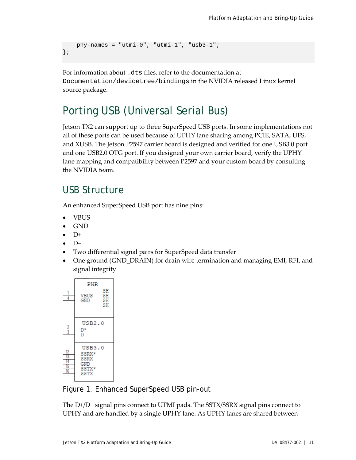```
 phy-names = "utmi-0", "utmi-1", "usb3-1";
};
```
For information about .dts files, refer to the documentation at Documentation/devicetree/bindings in the NVIDIA released Linux kernel source package.

## <span id="page-10-0"></span>Porting USB (Universal Serial Bus)

Jetson TX2 can support up to three SuperSpeed USB ports. In some implementations not all of these ports can be used because of UPHY lane sharing among PCIE, SATA, UFS, and XUSB. The Jetson P2597 carrier board is designed and verified for one USB3.0 port and one USB2.0 OTG port. If you designed your own carrier board, verify the UPHY lane mapping and compatibility between P2597 and your custom board by consulting the NVIDIA team.

### <span id="page-10-1"></span>USB Structure

An enhanced SuperSpeed USB port has nine pins:

- VBUS
- GND
- $\bullet$  D+
- D−
- Two differential signal pairs for SuperSpeed data transfer
- One ground (GND\_DRAIN) for drain wire termination and managing EMI, RFI, and signal integrity



<span id="page-10-2"></span>Figure 1. Enhanced SuperSpeed USB pin-out

The D+/D− signal pins connect to UTMI pads. The SSTX/SSRX signal pins connect to UPHY and are handled by a single UPHY lane. As UPHY lanes are shared between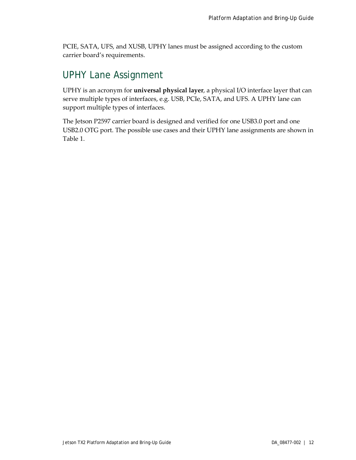PCIE, SATA, UFS, and XUSB, UPHY lanes must be assigned according to the custom carrier board's requirements.

### <span id="page-11-0"></span>UPHY Lane Assignment

UPHY is an acronym for **universal physical layer**, a physical I/O interface layer that can serve multiple types of interfaces, e.g. USB, PCIe, SATA, and UFS. A UPHY lane can support multiple types of interfaces.

The Jetson P2597 carrier board is designed and verified for one USB3.0 port and one USB2.0 OTG port. The possible use cases and their UPHY lane assignments are shown in [Table 1.](#page-12-0)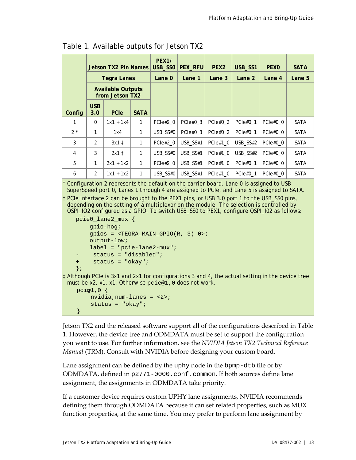|               |                   | <b>Jetson TX2 Pin Names</b>                 |             | <b>PEX1/</b><br>USB_SSO | <b>PEX_RFU</b> | PEX <sub>2</sub> | USB_SS1    | <b>PEXO</b> | <b>SATA</b> |
|---------------|-------------------|---------------------------------------------|-------------|-------------------------|----------------|------------------|------------|-------------|-------------|
|               |                   | <b>Tegra Lanes</b>                          |             | Lane 0                  | Lane 1         | Lane 3           | Lane 2     | Lane 4      | Lane 5      |
|               |                   | <b>Available Outputs</b><br>from Jetson TX2 |             |                         |                |                  |            |             |             |
| Config        | <b>USB</b><br>3.0 | <b>PCIe</b>                                 | <b>SATA</b> |                         |                |                  |            |             |             |
| 1             | $\Omega$          | $1x1 + 1x4$                                 | 1           | PCIe#2 0                | PCIe#0 3       | PCIe#0 2         | PCIe#0 1   | PCIe#0 0    | <b>SATA</b> |
| $2*$          | 1                 | 1x4                                         | 1           | USB SS#0                | PCIe $#0$ 3    | PCIe#0 2         | PCIe#0 $1$ | PCIe $#0$ 0 | <b>SATA</b> |
| $\mathcal{S}$ | $\mathcal{P}$     | $3x1$ $\ddagger$                            | 1           | PCle#2 0                | USB SS#1       | PCIe $#1$ 0      | USB SS#2   | PCIe#0 0    | SATA        |
| 4             | 3                 | $2x1$ ‡                                     | 1           | USB SS#0                | USB SS#1       | PCIe $#1$ 0      | USB SS#2   | PCIe#0 0    | SATA        |
| 5             | 1                 | $2x1 + 1x2$                                 | 1           | PCle#2 0                | USB_SS#1       | PCIe $#1$ 0      | PCIe#0 1   | PCIe#0 0    | SATA        |
| 6             | $\mathfrak{D}$    | $1x1 + 1x2$                                 | 1           | USB SS#0                | USB SS#1       | PCIe $#1$ 0      | PCIe#0 1   | PCIe#0 0    | <b>SATA</b> |
|               |                   |                                             |             |                         |                |                  |            |             |             |

<span id="page-12-0"></span>

| Table 1. Available outputs for Jetson TX2 |  |  |  |  |  |  |
|-------------------------------------------|--|--|--|--|--|--|
|-------------------------------------------|--|--|--|--|--|--|

Configuration 2 represents the default on the carrier board. Lane 0 is assigned to USB SuperSpeed port 0, Lanes 1 through 4 are assigned to PCIe, and Lane 5 is assigned to SATA.

† PCIe Interface 2 can be brought to the PEX1 pins, or USB 3.0 port 1 to the USB\_SS0 pins, depending on the setting of a multiplexor on the module. The selection is controlled by QSPI\_IO2 configured as a GPIO. To switch USB\_SS0 to PEX1, configure QSPI\_I02 as follows:

```
pcie0_lane2_mux {
         gpio-hog;
       qpios = \langleTEGRA MAIN GPIO(R, 3) 0>;
        output-low;
        label = "pcie-lane2-mux";
       status = "disabled";
    + status = "okay";
   };
‡ Although PCIe is 3x1 and 2x1 for configurations 3 and 4, the actual setting in the device tree 
 must be x2, x1, x1. Otherwise pcie@1,0 does not work.
     pci@1,0 { 
        nvidia,num-lanes = <2>;
         status = "okay";
}<br>}
```
Jetson TX2 and the released software support all of the configurations described in [Table](#page-12-0)  [1.](#page-12-0) However, the device tree and ODMDATA must be set to support the configuration you want to use. For further information, see the *NVIDIA Jetson TX2 Technical Reference Manual* (TRM). Consult with NVIDIA before designing your custom board.

Lane assignment can be defined by the uphy node in the bpmp-dtb file or by ODMDATA, defined in p2771-0000.conf.common. If both sources define lane assignment, the assignments in ODMDATA take priority.

If a customer device requires custom UPHY lane assignments, NVIDIA recommends defining them through ODMDATA because it can set related properties, such as MUX function properties, at the same time. You may prefer to perform lane assignment by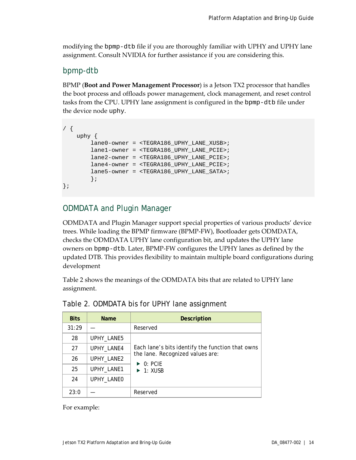modifying the bpmp-dtb file if you are thoroughly familiar with UPHY and UPHY lane assignment. Consult NVIDIA for further assistance if you are considering this.

#### <span id="page-13-0"></span>bpmp-dtb

BPMP (**Boot and Power Management Processor**) is a Jetson TX2 processor that handles the boot process and offloads power management, clock management, and reset control tasks from the CPU. UPHY lane assignment is configured in the bpmp-dtb file under the device node uphy.

```
/ {
    uphy {
         lane0-owner = <TEGRA186_UPHY_LANE_XUSB>;
         lane1-owner = <TEGRA186_UPHY_LANE_PCIE>;
         lane2-owner = <TEGRA186_UPHY_LANE_PCIE>;
         lane4-owner = <TEGRA186_UPHY_LANE_PCIE>;
         lane5-owner = <TEGRA186_UPHY_LANE_SATA>;
         };
};
```
### <span id="page-13-1"></span>ODMDATA and Plugin Manager

ODMDATA and Plugin Manager support special properties of various products' device trees. While loading the BPMP firmware (BPMP-FW), Bootloader gets ODMDATA, checks the ODMDATA UPHY lane configuration bit, and updates the UPHY lane owners on bpmp-dtb. Later, BPMP-FW configures the UPHY lanes as defined by the updated DTB. This provides flexibility to maintain multiple board configurations during development

[Table 2](#page-13-2) shows the meanings of the ODMDATA bits that are related to UPHY lane assignment.

| <b>Bits</b> | <b>Name</b> | Description                                                  |  |  |  |
|-------------|-------------|--------------------------------------------------------------|--|--|--|
| 31:29       |             | Reserved                                                     |  |  |  |
| 28          | UPHY_LANE5  |                                                              |  |  |  |
| 27          | UPHY_LANE4  | Each lane's bits identify the function that owns             |  |  |  |
| 26          | UPHY_LANE2  | the lane. Recognized values are:<br>$\triangleright$ 0: PCIF |  |  |  |
| 25          | UPHY_LANE1  | $\blacktriangleright$ 1: XUSB                                |  |  |  |
| 24          | UPHY_LANE0  |                                                              |  |  |  |
| 23:0        |             | Reserved                                                     |  |  |  |

<span id="page-13-2"></span>

For example: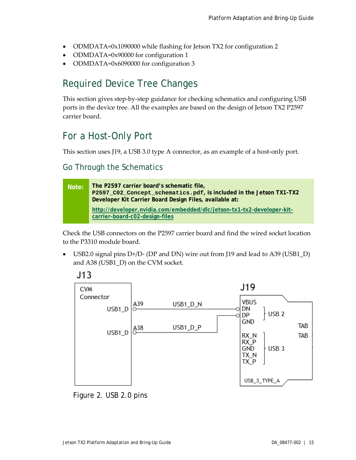- ODMDATA=0x1090000 while flashing for Jetson TX2 for configuration 2
- ODMDATA=0x90000 for configuration 1
- ODMDATA=0x6090000 for configuration 3

### <span id="page-14-0"></span>Required Device Tree Changes

This section gives step-by-step guidance for checking schematics and configuring USB ports in the device tree. All the examples are based on the design of Jetson TX2 P2597 carrier board.

## <span id="page-14-1"></span>For a Host-Only Port

This section uses J19, a USB 3.0 type A connector, as an example of a host-only port.

### <span id="page-14-2"></span>Go Through the Schematics



Check the USB connectors on the P2597 carrier board and find the wired socket location to the P3310 module board.

• USB2.0 signal pins D+/D- (DP and DN) wire out from J19 and lead to A39 (USB1\_D) and A38 (USB1\_D) on the CVM socket.



<span id="page-14-3"></span>Figure 2. USB 2.0 pins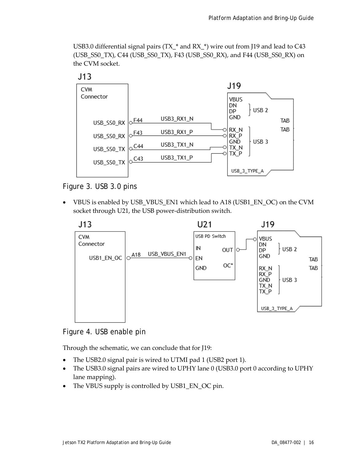USB3.0 differential signal pairs (TX\_\* and RX\_\*) wire out from J19 and lead to C43 (USB\_SS0\_TX), C44 (USB\_SS0\_TX), F43 (USB\_SS0\_RX), and F44 (USB\_SS0\_RX) on the CVM socket.



 $J13$ 

#### <span id="page-15-0"></span>Figure 3. USB 3.0 pins

• VBUS is enabled by USB\_VBUS\_EN1 which lead to A18 (USB1\_EN\_OC) on the CVM socket through U21, the USB power-distribution switch.



<span id="page-15-1"></span>Figure 4. USB enable pin

Through the schematic, we can conclude that for J19:

- The USB2.0 signal pair is wired to UTMI pad 1 (USB2 port 1).
- The USB3.0 signal pairs are wired to UPHY lane 0 (USB3.0 port 0 according to UPHY lane mapping).
- The VBUS supply is controlled by USB1\_EN\_OC pin.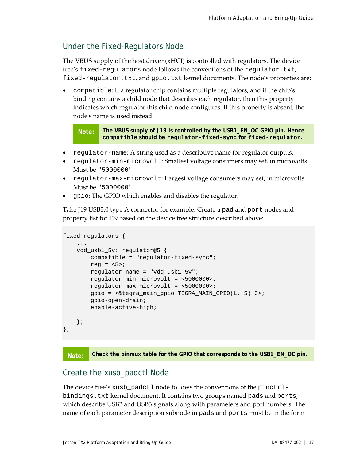#### <span id="page-16-0"></span>Under the Fixed-Regulators Node

The VBUS supply of the host driver (xHCI) is controlled with regulators. The device tree's fixed-regulators node follows the conventions of the regulator.txt, fixed-regulator.txt, and gpio.txt kernel documents. The node's properties are:

• compatible: If a regulator chip contains multiple regulators, and if the chip's binding contains a child node that describes each regulator, then this property indicates which regulator this child node configures. If this property is absent, the node's name is used instead.

**Note: The VBUS supply of J19 is controlled by the USB1\_EN\_OC GPIO pin. Hence compatible should be regulator-fixed-sync for fixed-regulator.**

- regulator-name: A string used as a descriptive name for regulator outputs.
- regulator-min-microvolt: Smallest voltage consumers may set, in microvolts. Must be "5000000".
- regulator-max-microvolt: Largest voltage consumers may set, in microvolts. Must be "5000000".
- gpio: The GPIO which enables and disables the regulator.

Take J19 USB3.0 type A connector for example. Create a pad and port nodes and property list for J19 based on the device tree structure described above:

```
fixed-regulators {
 ...
    vdd_usb1_5v: regulator@5 {
        compatible = "regulator-fixed-sync";
       reg = <5>;
        regulator-name = "vdd-usb1-5v";
        regulator-min-microvolt = <5000000>;
        regulator-max-microvolt = <5000000>;
         gpio = <&tegra_main_gpio TEGRA_MAIN_GPIO(L, 5) 0>;
         gpio-open-drain;
        enable-active-high;
         ...
    };
};
```


#### <span id="page-16-1"></span>Create the xusb\_padctl Node

The device tree's xusb\_padctl node follows the conventions of the pinctrlbindings.txt kernel document. It contains two groups named pads and ports, which describe USB2 and USB3 signals along with parameters and port numbers. The name of each parameter description subnode in pads and ports must be in the form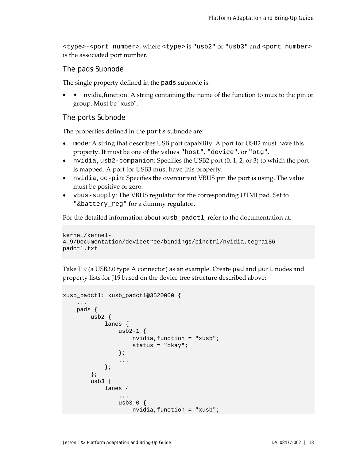<type>-<port\_number>, where <type> is "usb2" or "usb3" and <port\_number> is the associated port number.

#### The pads Subnode

The single property defined in the pads subnode is:

• • nvidia, function: A string containing the name of the function to mux to the pin or group. Must be "xusb".

#### The ports Subnode

The properties defined in the ports subnode are:

- mode: A string that describes USB port capability. A port for USB2 must have this property. It must be one of the values "host", "device", or "otg".
- nvidia, usb2-companion: Specifies the USB2 port  $(0, 1, 2, \text{or } 3)$  to which the port is mapped. A port for USB3 must have this property.
- nvidia,oc-pin: Specifies the overcurrent VBUS pin the port is using. The value must be positive or zero.
- vbus-supply: The VBUS regulator for the corresponding UTMI pad. Set to "&battery\_reg" for a dummy regulator.

For the detailed information about xusb\_padctl, refer to the documentation at:

```
kernel/kernel-
4.9/Documentation/devicetree/bindings/pinctrl/nvidia,tegra186-
padctl.txt
```
Take J19 (a USB3.0 type A connector) as an example. Create pad and port nodes and property lists for J19 based on the device tree structure described above:

```
xusb_padctl: xusb_padctl@3520000 {
        ...
       pads {
               usb2 {
                      lanes {
                             usb2-1\{ nvidia,function = "xusb";
                                    status = "okay";
\} ; and the set of \{ is \} is \{ is \} is a set of \{ is \} is a set of \{ is \} is a set of \{ is \} is a set of \{ is \} is a set of \{ is \} is a set of \{ is \} is a set of \{ is 
                              ...
                       };
               };
              usb3 \{ lanes {
 ...
                             usb3-0 {
                                     nvidia,function = "xusb";
```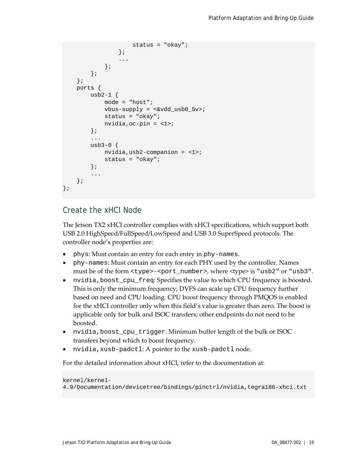```
 status = "okay";
\} ; and the set of \{x_i\} ...
               };
          };
     };
     ports {
         usb2-1 {
              mode = "host";
              vbus-supply = <math>\&\text{vdd} usb0 5v>;
               status = "okay";
             nvidia,oc-pin = <1>;
          };
          ...
         usb3-0 {
             nvidia,usb2-companion = <1>;
              status = "okay";
          };
          ...
     };
};
```
#### <span id="page-18-0"></span>Create the xHCI Node

The Jetson TX2 xHCI controller complies with xHCI specifications, which support both USB 2.0 HighSpeed/FullSpeed/LowSpeed and USB 3.0 SuperSpeed protocols. The controller node's properties are:

- phys: Must contain an entry for each entry in phy-names.
- phy-names: Must contain an entry for each PHY used by the controller. Names must be of the form <type>-<port\_number>, where <type> is "usb2" or "usb3".
- nvidia, boost\_cpu\_freq: Specifies the value to which CPU frequency is boosted. This is only the minimum frequency; DVFS can scale up CPU frequency further based on need and CPU loading. CPU boost frequency through PMQOS is enabled for the xHCI controller only when this field's value is greater than zero. The boost is applicable only for bulk and ISOC transfers; other endpoints do not need to be boosted.
- nvidia,boost\_cpu\_trigger: Minimum buffer length of the bulk or ISOC transfers beyond which to boost frequency.
- nvidia,xusb-padctl: A pointer to the xusb-padctl node.

For the detailed information about xHCI, refer to the documentation at:

```
kernel/kernel-
4.9/Documentation/devicetree/bindings/pinctrl/nvidia,tegra186-xhci.txt
```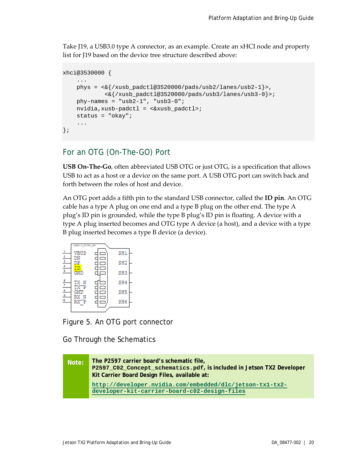Take J19, a USB3.0 type A connector, as an example. Create an xHCI node and property list for J19 based on the device tree structure described above:

```
xhci@3530000 {
     ...
    phys = \langle \& \rangle/xusb padctl@3520000/pads/usb2/lanes/usb2-1}>,
              <&{/xusb_padctl@3520000/pads/usb3/lanes/usb3-0}>;
    phy-names = "usb2-1", "usb3-0";
     nvidia,xusb-padctl = <&xusb_padctl>;
     status = "okay";
     ...
};
```
#### <span id="page-19-0"></span>For an OTG (On-The-GO) Port

**USB On-The-Go**, often abbreviated USB OTG or just OTG, is a specification that allows USB to act as a host or a device on the same port. A USB OTG port can switch back and forth between the roles of host and device.

An OTG port adds a fifth pin to the standard USB connector, called the **ID pin**. An OTG cable has a type A plug on one end and a type B plug on the other end. The type A plug's ID pin is grounded, while the type B plug's ID pin is floating. A device with a type A plug inserted becomes and OTG type A device (a host), and a device with a type B plug inserted becomes a type B device (a device).



<span id="page-19-1"></span>Figure 5. An OTG port connector

Go Through the Schematics

```
Note: The P2597 carrier board's schematic file, 
       P2597_C02_Concept_schematics.pdf, is included in Jetson TX2 Developer 
       Kit Carrier Board Design Files, available at:
       http://developer.nvidia.com/embedded/dlc/jetson-tx1-tx2-
        developer-kit-carrier-board-c02-design-files
```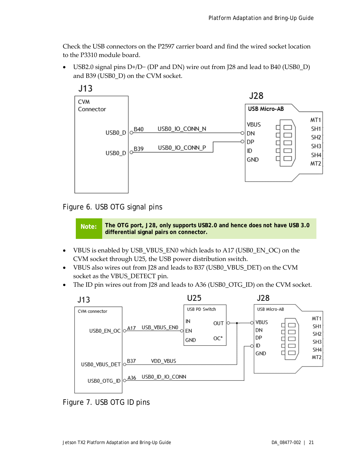Check the USB connectors on the P2597 carrier board and find the wired socket location to the P3310 module board.

• USB2.0 signal pins D+/D− (DP and DN) wire out from J28 and lead to B40 (USB0\_D) and B39 (USB0\_D) on the CVM socket.



#### <span id="page-20-0"></span>Figure 6. USB OTG signal pins

**Note: The OTG port, J28, only supports USB2.0 and hence does** *not* **have USB 3.0 differential signal pairs on connector.**

- VBUS is enabled by USB\_VBUS\_EN0 which leads to A17 (USB0\_EN\_OC) on the CVM socket through U25, the USB power distribution switch.
- VBUS also wires out from J28 and leads to B37 (USB0\_VBUS\_DET) on the CVM socket as the VBUS\_DETECT pin.
- The ID pin wires out from J28 and leads to A36 (USB0\_OTG\_ID) on the CVM socket.



<span id="page-20-1"></span>Figure 7. USB OTG ID pins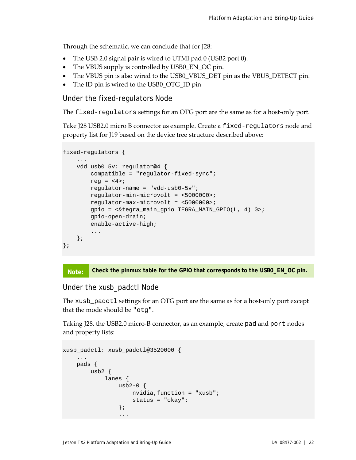Through the schematic, we can conclude that for J28:

- The USB 2.0 signal pair is wired to UTMI pad 0 (USB2 port 0).
- The VBUS supply is controlled by USB0\_EN\_OC pin.
- The VBUS pin is also wired to the USB0\_VBUS\_DET pin as the VBUS\_DETECT pin.
- The ID pin is wired to the USB0\_OTG\_ID pin

#### Under the fixed-regulators Node

The fixed-regulators settings for an OTG port are the same as for a host-only port.

Take J28 USB2.0 micro B connector as example. Create a fixed-regulators node and property list for J19 based on the device tree structure described above:

```
fixed-regulators {
     ...
     vdd_usb0_5v: regulator@4 {
        compatible = "regulator-fixed-sync";
       reg = <4>;
        regulator-name = "vdd-usb0-5v";
        regulator-min-microvolt = <5000000>;
         regulator-max-microvolt = <5000000>;
         gpio = <&tegra_main_gpio TEGRA_MAIN_GPIO(L, 4) 0>;
         gpio-open-drain;
         enable-active-high;
         ...
    };
};
```


#### Under the xusb\_padctl Node

The xusb\_padctl settings for an OTG port are the same as for a host-only port except that the mode should be "otg".

Taking J28, the USB2.0 micro-B connector, as an example, create pad and port nodes and property lists:

```
xusb_padctl: xusb_padctl@3520000 {
         ...
          pads {
                  usb2 {
                            lanes {
                                    usb2-0\{ nvidia,function = "xusb";
                                              status = "okay";
\} ; and the set of the set of the set of the set of the set of the set of the set of the set of the set of the set of the set of the set of the set of the set of the set of the set of the set of the set of the set of t
 ...
```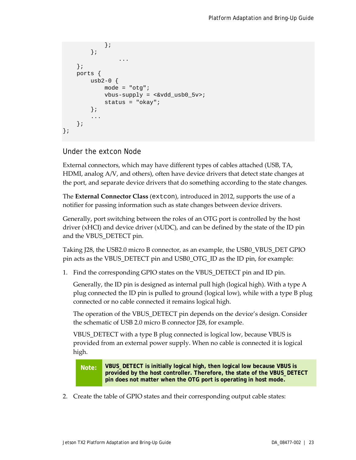```
 };
          };
 ...
     };
     ports {
        usb2-0 {
              mode = "otg";
             vbus-supply = <math>\&\text{vdd} usb0 5v>;
             status = "okay";
         };
          ...
     };
};
```
Under the extcon Node

External connectors, which may have different types of cables attached (USB, TA, HDMI, analog A/V, and others), often have device drivers that detect state changes at the port, and separate device drivers that do something according to the state changes.

The **External Connector Class** (extcon), introduced in 2012, supports the use of a notifier for passing information such as state changes between device drivers.

Generally, port switching between the roles of an OTG port is controlled by the host driver (xHCI) and device driver (xUDC), and can be defined by the state of the ID pin and the VBUS\_DETECT pin.

Taking J28, the USB2.0 micro B connector, as an example, the USB0\_VBUS\_DET GPIO pin acts as the VBUS\_DETECT pin and USB0\_OTG\_ID as the ID pin, for example:

1. Find the corresponding GPIO states on the VBUS\_DETECT pin and ID pin.

Generally, the ID pin is designed as internal pull high (logical high). With a type A plug connected the ID pin is pulled to ground (logical low), while with a type B plug connected or no cable connected it remains logical high.

The operation of the VBUS\_DETECT pin depends on the device's design. Consider the schematic of USB 2.0 micro B connector J28, for example.

VBUS\_DETECT with a type B plug connected is logical low, because VBUS is provided from an external power supply. When no cable is connected it is logical high.

**Note: VBUS\_DETECT is initially logical high, then logical low because VBUS is provided by the host controller. Therefore, the state of the VBUS\_DETECT pin does not matter when the OTG port is operating in host mode.**

2. Create the table of GPIO states and their corresponding output cable states: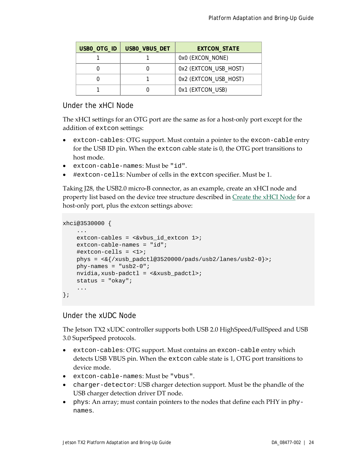| USBO_OTG_ID | USBO_VBUS_DET | <b>EXTCON STATE</b>   |
|-------------|---------------|-----------------------|
|             |               | 0x0 (EXCON_NONE)      |
|             |               | 0x2 (EXTCON_USB_HOST) |
|             |               | 0x2 (EXTCON_USB_HOST) |
|             |               | 0x1 (EXTCON_USB)      |

#### Under the xHCI Node

The xHCI settings for an OTG port are the same as for a host-only port except for the addition of extcon settings:

- extcon-cables: OTG support. Must contain a pointer to the excon-cable entry for the USB ID pin. When the extcon cable state is 0, the OTG port transitions to host mode.
- extcon-cable-names: Must be "id".
- #extcon-cells: Number of cells in the extcon specifier. Must be 1.

Taking J28, the USB2.0 micro-B connector, as an example, create an xHCI node and property list based on the device tree structure described i[n Create the xHCI Node](#page-18-0) for a host-only port, plus the extcon settings above:

```
xhci@3530000 {
 ...
    extcon-cables = <&vbus id extcon 1>;
     extcon-cable-names = "id";
     #extcon-cells = <1>;
    phys = \langle \& {\} /xusb\_padctl@3520000/pads/usb2/lanes/usb2-0 \rangle;
    phy-names = "usb2-0";
     nvidia,xusb-padctl = <&xusb_padctl>;
    status = "okay";
     ...
};
```
#### Under the xUDC Node

The Jetson TX2 xUDC controller supports both USB 2.0 HighSpeed/FullSpeed and USB 3.0 SuperSpeed protocols.

- extcon-cables: OTG support. Must contains an excon-cable entry which detects USB VBUS pin. When the extcon cable state is 1, OTG port transitions to device mode.
- extcon-cable-names: Must be "vbus".
- charger-detector: USB charger detection support. Must be the phandle of the USB charger detection driver DT node.
- phys: An array; must contain pointers to the nodes that define each PHY in phynames.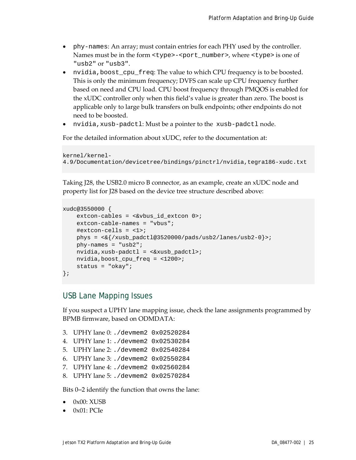- phy-names: An array; must contain entries for each PHY used by the controller. Names must be in the form <type>-<port\_number>, where <type> is one of "usb2" or "usb3".
- nvidia, boost\_cpu\_freq: The value to which CPU frequency is to be boosted. This is only the minimum frequency; DVFS can scale up CPU frequency further based on need and CPU load. CPU boost frequency through PMQOS is enabled for the xUDC controller only when this field's value is greater than zero. The boost is applicable only to large bulk transfers on bulk endpoints; other endpoints do not need to be boosted.
- nvidia,xusb-padctl: Must be a pointer to the xusb-padctl node.

For the detailed information about xUDC, refer to the documentation at:

```
kernel/kernel-
4.9/Documentation/devicetree/bindings/pinctrl/nvidia,tegra186-xudc.txt
```
Taking J28, the USB2.0 micro B connector, as an example, create an xUDC node and property list for J28 based on the device tree structure described above:

```
xudc@3550000 {
    extcon-cables = <&vbus_id_extcon 0>;
     extcon-cable-names = "vbus";
     #extcon-cells = <1>;
    phys = \langle \& \rangle/xusb padctl@3520000/pads/usb2/lanes/usb2-0}>;
    phy-names = "usb2";
     nvidia,xusb-padctl = <&xusb_padctl>;
    nvidia,boost_cpu_freq = <1200>;
     status = "okay";
};
```
#### <span id="page-24-0"></span>USB Lane Mapping Issues

If you suspect a UPHY lane mapping issue, check the lane assignments programmed by BPMB firmware, based on ODMDATA:

3. UPHY lane 0: ./devmem2 0x02520284 4. UPHY lane 1: ./devmem2 0x02530284 5. UPHY lane 2: ./devmem2 0x02540284 6. UPHY lane 3: ./devmem2 0x02550284 7. UPHY lane 4: ./devmem2 0x02560284 8. UPHY lane 5: ./devmem2 0x02570284

Bits 0‒2 identify the function that owns the lane:

- $\bullet$  0x00: XUSB
- 0x01: PCIe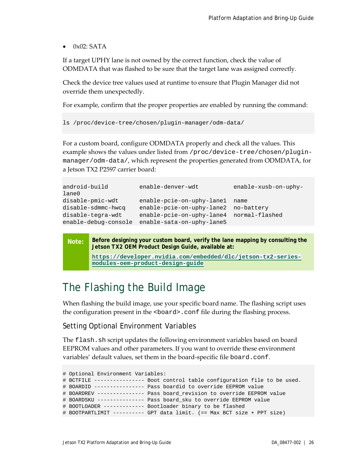$\bullet$  0x02: SATA

If a target UPHY lane is not owned by the correct function, check the value of ODMDATA that was flashed to be sure that the target lane was assigned correctly.

Check the device tree values used at runtime to ensure that Plugin Manager did not override them unexpectedly.

For example, confirm that the proper properties are enabled by running the command:

```
ls /proc/device-tree/chosen/plugin-manager/odm-data/
```
For a custom board, configure ODMDATA properly and check all the values. This example shows the values under listed from /proc/device-tree/chosen/pluginmanager/odm-data/, which represent the properties generated from ODMDATA, for a Jetson TX2 P2597 carrier board:

| android-build<br>lane0 | enable-denver-wdt         | enable-xusb-on-uphy- |
|------------------------|---------------------------|----------------------|
| disable-pmic-wdt       | enable-pcie-on-uphy-lane1 | name                 |
| disable-sdmmc-hwcq     | enable-pcie-on-uphy-lane2 | no-battery           |
| disable-tegra-wdt      | enable-pcie-on-uphy-lane4 | normal-flashed       |
| enable-debug-console   | enable-sata-on-uphy-lane5 |                      |

**Note: Before designing your custom board, verify the lane mapping by consulting the**  *Jetson TX2 OEM Product Design Guide***, available at:**

```
https://developer.nvidia.com/embedded/dlc/jetson-tx2-series-
modules-oem-product-design-guide
```
## <span id="page-25-0"></span>The Flashing the Build Image

When flashing the build image, use your specific board name. The flashing script uses the configuration present in the <br/>board>.conf file during the flashing process.

#### Setting Optional Environment Variables

The flash.sh script updates the following environment variables based on board EEPROM values and other parameters. If you want to override these environment variables' default values, set them in the board-specific file board.conf.

```
# Optional Environment Variables:
# BCTFILE ---------------- Boot control table configuration file to be used.
# BOARDID ---------------- Pass boardid to override EEPROM value
# BOARDREV --------------- Pass board_revision to override EEPROM value
# BOARDSKU --------------- Pass board_sku to override EEPROM value
# BOOTLOADER ------------- Bootloader binary to be flashed
# BOOTPARTLIMIT ---------- GPT data limit. (== Max BCT size + PPT size)
```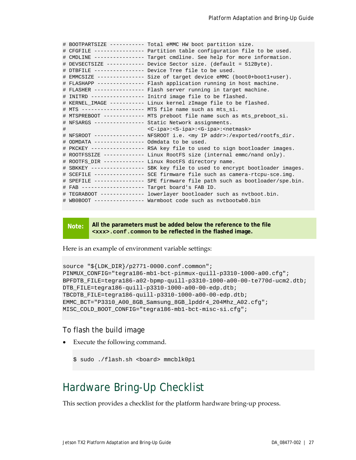```
# BOOTPARTSIZE ----------- Total eMMC HW boot partition size.
# CFGFILE ---------------- Partition table configuration file to be used.
# CMDLINE ---------------- Target cmdline. See help for more information.
# DEVSECTSIZE ------------ Device Sector size. (default = 512Byte).
# DTBFILE ---------------- Device Tree file to be used.
# EMMCSIZE --------------- Size of target device eMMC (boot0+boot1+user).
# FLASHAPP --------------- Flash application running in host machine.
# FLASHER ---------------- Flash server running in target machine.
# INITRD ----------------- Initrd image file to be flashed.
# KERNEL_IMAGE ----------- Linux kernel zImage file to be flashed.
# MTS -------------------- MTS file name such as mts_si.
# MTSPREBOOT ------------- MTS preboot file name such as mts_preboot_si.
# NFSARGS ---------------- Static Network assignments.
                          <C-ipa>:<S-ipa>:<G-ipa>:<netmask>
# NFSROOT ---------------- NFSROOT i.e. <my IP addr>:/exported/rootfs_dir.
# ODMDATA ---------------- Odmdata to be used.
# PKCKEY ----------------- RSA key file to used to sign bootloader images.
# ROOTFSSIZE ------------- Linux RootFS size (internal emmc/nand only).
# ROOTFS_DIR ------------- Linux RootFS directory name.
# SBKKEY ----------------- SBK key file to used to encrypt bootloader images.
# SCEFILE ---------------- SCE firmware file such as camera-rtcpu-sce.img.
# SPEFILE ---------------- SPE firmware file path such as bootloader/spe.bin.
# FAB -------------------- Target board's FAB ID.
# TEGRABOOT -------------- lowerlayer bootloader such as nvtboot.bin.
# WB0BOOT ---------------- Warmboot code such as nvtbootwb0.bin
```
**Note: All the parameters must be added below the reference to the file <xxx>.conf.common to be reflected in the flashed image.**

Here is an example of environment variable settings:

```
source "${LDK_DIR}/p2771-0000.conf.common";
PINMUX_CONFIG="tegra186-mb1-bct-pinmux-quill-p3310-1000-a00.cfg";
BPFDTB_FILE=tegra186-a02-bpmp-quill-p3310-1000-a00-00-te770d-ucm2.dtb;
DTB_FILE=tegra186-quill-p3310-1000-a00-00-edp.dtb;
TBCDTB_FILE=tegra186-quill-p3310-1000-a00-00-edp.dtb;
EMMC_BCT="P3310_A00_8GB_Samsung_8GB_lpddr4_204Mhz_A02.cfg";
MISC_COLD_BOOT_CONFIG="tegra186-mb1-bct-misc-si.cfg";
```
#### To flash the build image

Execute the following command.

\$ sudo ./flash.sh <board> mmcblk0p1

### <span id="page-26-0"></span>Hardware Bring-Up Checklist

This section provides a checklist for the platform hardware bring-up process.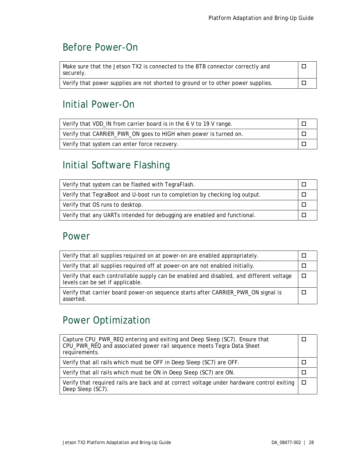## <span id="page-27-0"></span>Before Power-On

| Make sure that the Jetson TX2 is connected to the BTB connector correctly and<br>securely. |  |
|--------------------------------------------------------------------------------------------|--|
| Verify that power supplies are not shorted to ground or to other power supplies.           |  |

### <span id="page-27-1"></span>Initial Power-On

| Verify that VDD_IN from carrier board is in the 6 V to 19 V range. |  |
|--------------------------------------------------------------------|--|
| Verify that CARRIER_PWR_ON goes to HIGH when power is turned on.   |  |
| Verify that system can enter force recovery.                       |  |

## <span id="page-27-2"></span>Initial Software Flashing

| Verify that system can be flashed with TegraFlash.                         |  |
|----------------------------------------------------------------------------|--|
| Verify that TegraBoot and U-boot run to completion by checking log output. |  |
| Verify that OS runs to desktop.                                            |  |
| Verify that any UARTs intended for debugging are enabled and functional.   |  |

### <span id="page-27-3"></span>Power

| Verify that all supplies required on at power-on are enabled appropriately.                                                 |   |
|-----------------------------------------------------------------------------------------------------------------------------|---|
| Verify that all supplies required off at power-on are not enabled initially.                                                |   |
| Verify that each controllable supply can be enabled and disabled, and different voltage<br>levels can be set if applicable. | Л |
| Verify that carrier board power-on sequence starts after CARRIER_PWR_ON signal is<br>asserted.                              |   |

## <span id="page-27-4"></span>Power Optimization

| Capture CPU_PWR_REQ entering and exiting and Deep Sleep (SC7). Ensure that<br>CPU_PWR_REQ and associated power rail sequence meets Tegra Data Sheet<br>requirements. |  |
|----------------------------------------------------------------------------------------------------------------------------------------------------------------------|--|
| Verify that all rails which must be OFF in Deep Sleep (SC7) are OFF.                                                                                                 |  |
| Verify that all rails which must be ON in Deep Sleep (SC7) are ON.                                                                                                   |  |
| Verify that required rails are back and at correct voltage under hardware control exiting<br>Deep Sleep (SC7).                                                       |  |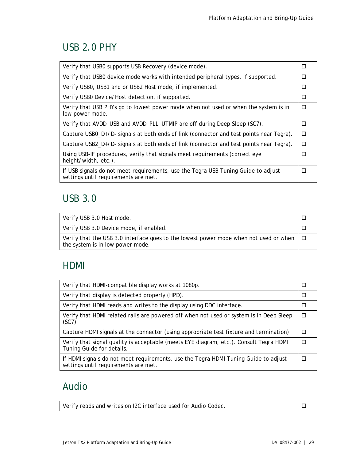### <span id="page-28-0"></span>USB 2.0 PHY

| Verify that USB0 supports USB Recovery (device mode).                                                                     | П      |
|---------------------------------------------------------------------------------------------------------------------------|--------|
| Verify that USBO device mode works with intended peripheral types, if supported.                                          | □      |
| Verify USB0, USB1 and or USB2 Host mode, if implemented.                                                                  | $\Box$ |
| Verify USBO Device/Host detection, if supported.                                                                          | П      |
| Verify that USB PHYs go to lowest power mode when not used or when the system is in<br>low power mode.                    | П      |
| Verify that AVDD_USB and AVDD_PLL_UTMIP are off during Deep Sleep (SC7).                                                  | П      |
| Capture USB0_D+/D- signals at both ends of link (connector and test points near Tegra).                                   | □      |
| Capture USB2_D+/D- signals at both ends of link (connector and test points near Tegra).                                   | П      |
| Using USB-IF procedures, verify that signals meet requirements (correct eye<br>height/width, etc.).                       | П      |
| If USB signals do not meet requirements, use the Tegra USB Tuning Guide to adjust<br>settings until requirements are met. | П      |

## <span id="page-28-1"></span>USB 3.0

| Verify USB 3.0 Host mode.                                                                                                        |  |
|----------------------------------------------------------------------------------------------------------------------------------|--|
| Verify USB 3.0 Device mode, if enabled.                                                                                          |  |
| Verify that the USB 3.0 interface goes to the lowest power mode when not used or when $\Box$<br>the system is in low power mode. |  |

### <span id="page-28-2"></span>HDMI

| Verify that HDMI-compatible display works at 1080p.                                                                         |        |
|-----------------------------------------------------------------------------------------------------------------------------|--------|
| Verify that display is detected properly (HPD).                                                                             | $\Box$ |
| Verify that HDMI reads and writes to the display using DDC interface.                                                       |        |
| Verify that HDMI related rails are powered off when not used or system is in Deep Sleep<br>$(SC7)$ .                        |        |
| Capture HDMI signals at the connector (using appropriate test fixture and termination).                                     |        |
| Verify that signal quality is acceptable (meets EYE diagram, etc.). Consult Tegra HDMI<br>Tuning Guide for details.         |        |
| If HDMI signals do not meet requirements, use the Tegra HDMI Tuning Guide to adjust<br>settings until requirements are met. |        |

## <span id="page-28-3"></span>Audio

| Verify reads and writes on I2C interface used for Audio Codec. |  |
|----------------------------------------------------------------|--|
|                                                                |  |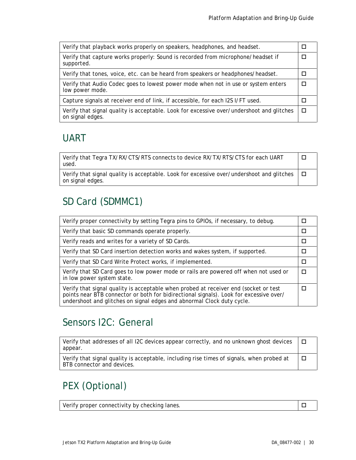| Verify that playback works properly on speakers, headphones, and headset.                                     |   |
|---------------------------------------------------------------------------------------------------------------|---|
| Verify that capture works properly: Sound is recorded from microphone/headset if<br>supported.                |   |
| Verify that tones, voice, etc. can be heard from speakers or headphones/headset.                              |   |
| Verify that Audio Codec goes to lowest power mode when not in use or system enters<br>low power mode.         | Л |
| Capture signals at receiver end of link, if accessible, for each I2S I/FT used.                               |   |
| Verify that signal quality is acceptable. Look for excessive over/undershoot and glitches<br>on signal edges. |   |

## <span id="page-29-0"></span>UART

Verify that Tegra TX/RX/CTS/RTS connects to device RX/TX/RTS/CTS for each UART used.  $\Box$ 

Verify that signal quality is acceptable. Look for excessive over/undershoot and glitches on signal edges.  $\Box$ 

## <span id="page-29-1"></span>SD Card (SDMMC1)

| Verify proper connectivity by setting Tegra pins to GPIOs, if necessary, to debug.                                                                                                                                                                       |  |
|----------------------------------------------------------------------------------------------------------------------------------------------------------------------------------------------------------------------------------------------------------|--|
| Verify that basic SD commands operate properly.                                                                                                                                                                                                          |  |
| Verify reads and writes for a variety of SD Cards.                                                                                                                                                                                                       |  |
| Verify that SD Card insertion detection works and wakes system, if supported.                                                                                                                                                                            |  |
| Verify that SD Card Write Protect works, if implemented.                                                                                                                                                                                                 |  |
| Verify that SD Card goes to low power mode or rails are powered off when not used or<br>in low power system state.                                                                                                                                       |  |
| Verify that signal quality is acceptable when probed at receiver end (socket or test<br>points near BTB connector or both for bidirectional signals). Look for excessive over/<br>undershoot and glitches on signal edges and abnormal Clock duty cycle. |  |

### <span id="page-29-2"></span>Sensors I2C: General

| Verify that addresses of all I2C devices appear correctly, and no unknown ghost devices<br>appear.                      | $\Box$ |
|-------------------------------------------------------------------------------------------------------------------------|--------|
| Verify that signal quality is acceptable, including rise times of signals, when probed at<br>BTB connector and devices. | $\Box$ |

## <span id="page-29-3"></span>PEX (Optional)

| Verify proper connectivity by checking lanes. |  |
|-----------------------------------------------|--|
|-----------------------------------------------|--|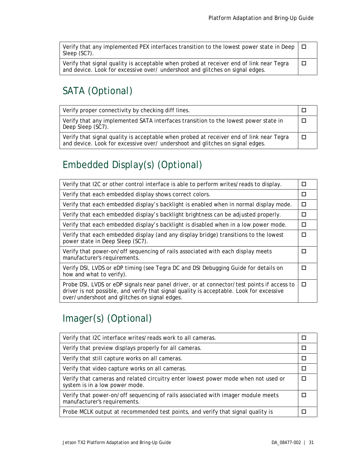| Verify that any implemented PEX interfaces transition to the lowest power state in Deep $\Box$<br>Sleep (SC7).                                                           |   |
|--------------------------------------------------------------------------------------------------------------------------------------------------------------------------|---|
| Verify that signal quality is acceptable when probed at receiver end of link near Tegra<br>and device. Look for excessive over/ undershoot and glitches on signal edges. | ட |

## <span id="page-30-0"></span>SATA (Optional)

| Verify proper connectivity by checking diff lines.                                                                                                                       |  |
|--------------------------------------------------------------------------------------------------------------------------------------------------------------------------|--|
| Verify that any implemented SATA interfaces transition to the lowest power state in<br>Deep Sleep (SC7).                                                                 |  |
| Verify that signal quality is acceptable when probed at receiver end of link near Tegra<br>and device. Look for excessive over/ undershoot and glitches on signal edges. |  |

## <span id="page-30-1"></span>Embedded Display(s) (Optional)

| Verify that I2C or other control interface is able to perform writes/reads to display.                                                                                                                                                  | П |
|-----------------------------------------------------------------------------------------------------------------------------------------------------------------------------------------------------------------------------------------|---|
| Verify that each embedded display shows correct colors.                                                                                                                                                                                 | п |
| Verify that each embedded display's backlight is enabled when in normal display mode.                                                                                                                                                   | □ |
| Verify that each embedded display's backlight brightness can be adjusted properly.                                                                                                                                                      | □ |
| Verify that each embedded display's backlight is disabled when in a low power mode.                                                                                                                                                     | п |
| Verify that each embedded display (and any display bridge) transitions to the lowest<br>power state in Deep Sleep (SC7).                                                                                                                | п |
| Verify that power-on/off sequencing of rails associated with each display meets<br>manufacturer's requirements.                                                                                                                         | п |
| Verify DSI, LVDS or eDP timing (see Tegra DC and DSI Debugging Guide for details on<br>how and what to verify).                                                                                                                         | П |
| Probe DSI, LVDS or eDP signals near panel driver, or at connector/test points if access to<br>driver is not possible, and verify that signal quality is acceptable. Look for excessive<br>over/undershoot and glitches on signal edges. | п |

## <span id="page-30-2"></span>Imager(s) (Optional)

| Verify that I2C interface writes/reads work to all cameras.                                                          |  |
|----------------------------------------------------------------------------------------------------------------------|--|
| Verify that preview displays properly for all cameras.                                                               |  |
| Verify that still capture works on all cameras.                                                                      |  |
| Verify that video capture works on all cameras.                                                                      |  |
| Verify that cameras and related circuitry enter lowest power mode when not used or<br>system is in a low power mode. |  |
| Verify that power-on/off sequencing of rails associated with imager module meets<br>manufacturer's requirements.     |  |
| Probe MCLK output at recommended test points, and verify that signal quality is                                      |  |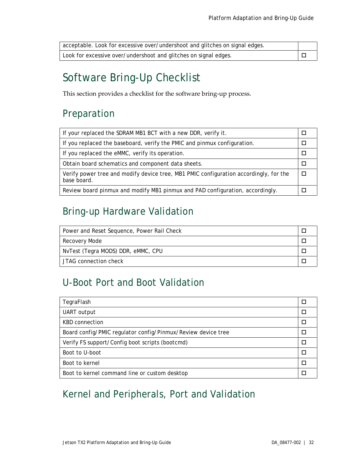| acceptable. Look for excessive over/undershoot and glitches on signal edges. |  |
|------------------------------------------------------------------------------|--|
| Look for excessive over/undershoot and glitches on signal edges.             |  |

# <span id="page-31-0"></span>Software Bring-Up Checklist

This section provides a checklist for the software bring-up process.

### <span id="page-31-1"></span>Preparation

| If your replaced the SDRAM MB1 BCT with a new DDR, verify it.                                        |  |
|------------------------------------------------------------------------------------------------------|--|
| If you replaced the baseboard, verify the PMIC and pinmux configuration.                             |  |
| If you replaced the eMMC, verify its operation.                                                      |  |
| Obtain board schematics and component data sheets.                                                   |  |
| Verify power tree and modify device tree, MB1 PMIC configuration accordingly, for the<br>base board. |  |
| Review board pinmux and modify MB1 pinmux and PAD configuration, accordingly.                        |  |

## <span id="page-31-2"></span>Bring-up Hardware Validation

| Power and Reset Sequence, Power Rail Check |  |
|--------------------------------------------|--|
| Recovery Mode                              |  |
| NvTest (Tegra MODS) DDR, eMMC, CPU         |  |
| JTAG connection check                      |  |

### <span id="page-31-3"></span>U-Boot Port and Boot Validation

| TegraFlash                                                   |  |
|--------------------------------------------------------------|--|
| UART output                                                  |  |
| KBD connection                                               |  |
| Board config/PMIC regulator config/Pinmux/Review device tree |  |
| Verify FS support/Config boot scripts (bootcmd)              |  |
| Boot to U-boot                                               |  |
| Boot to kernel                                               |  |
| Boot to kernel command line or custom desktop                |  |

## <span id="page-31-4"></span>Kernel and Peripherals, Port and Validation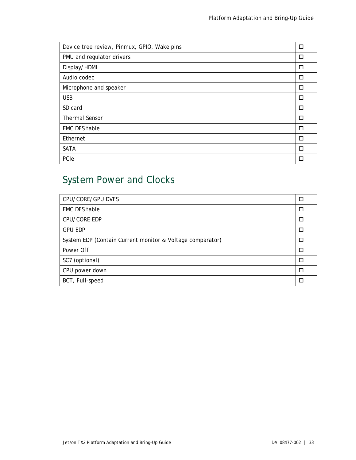| Device tree review, Pinmux, GPIO, Wake pins | □      |
|---------------------------------------------|--------|
| PMU and regulator drivers                   | П      |
| Display/HDMI                                | □      |
| Audio codec                                 | □      |
| Microphone and speaker                      | П      |
| <b>USB</b>                                  | □      |
| SD card                                     | □      |
| <b>Thermal Sensor</b>                       | П      |
| <b>EMC DFS table</b>                        | □      |
| Ethernet                                    | $\Box$ |
| <b>SATA</b>                                 | □      |
| PCIe                                        |        |

# <span id="page-32-0"></span>System Power and Clocks

| CPU/CORE/GPU DVFS                                         | □      |
|-----------------------------------------------------------|--------|
| <b>EMC DFS table</b>                                      | □      |
| CPU/CORE EDP                                              | $\Box$ |
| <b>GPU EDP</b>                                            | $\Box$ |
| System EDP (Contain Current monitor & Voltage comparator) | П      |
| Power Off                                                 | $\Box$ |
| SC7 (optional)                                            | $\Box$ |
| CPU power down                                            | П      |
| BCT, Full-speed                                           | П      |